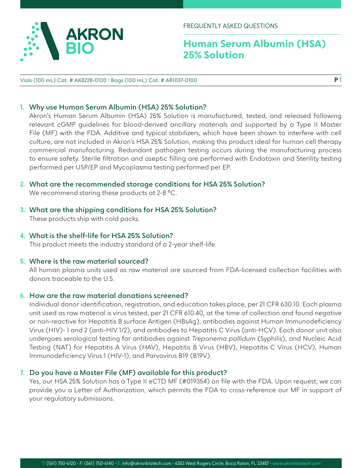

FREQUENTLY ASKED QUESTIONS

# **Human Serum Albumin (HSA) 25% Solution**

Vials (100 mL) Cat. # AK8228-0100 I Bags (100 mL) Cat. # AR1037-0100

### **1. Why use Human Serum Albumin (HSA) 25% Solution?**

Akron's Human Serum Albumin (HSA) 25% Solution is manufactured, tested, and released following relevant cGMP guidelines for blood-derived ancillary materials and supported by a Type II Master File (MF) with the FDA. Additive and typical stabilizers, which have been shown to interfere with cell culture, are not included in Akron's HSA 25% Solution, making this product ideal for human cell therapy commercial manufacturing. Redundant pathogen testing occurs during the manufacturing process to ensure safety. Sterile filtration and aseptic filling are performed with Endotoxin and Sterility testing performed per USP/EP and Mycoplasma testing performed per EP.

- **2. What are the recommended storage conditions for HSA 25% Solution?** We recommend storing these products at 2-8 °C.
- **3. What are the shipping conditions for HSA 25% Solution?** These products ship with cold packs.
- **4. What is the shelf-life for HSA 25% Solution?**

This product meets the industry standard of a 2-year shelf-life.

### **5. Where is the raw material sourced?**

All human plasma units used as raw material are sourced from FDA-licensed collection facilities with donors traceable to the U.S.

### **6. How are the raw material donations screened?**

Individual donor identification, registration, and education takes place, per 21 CFR 630.10. Each plasma unit used as raw material is virus tested, per 21 CFR 610.40, at the time of collection and found negative or non-reactive for Hepatitis B surface Antigen (HBsAg), antibodies against Human Immunodeficiency Virus (HIV)- 1 and 2 (anti-HIV 1/2), and antibodies to Hepatitis C Virus (anti-HCV). Each donor unit also undergoes serological testing for antibodies against *Treponema pallidum* (Syphilis), and Nucleic Acid Testing (NAT) for Hepatitis A Virus (HAV), Hepatitis B Virus (HBV), Hepatitis C Virus (HCV), Human Immunodeficiency Virus 1 (HIV-1), and Parvovirus B19 (B19V).

### **7. Do you have a Master File (MF) available for this product?**

Yes, our HSA 25% Solution has a Type II eCTD MF (#019354) on file with the FDA. Upon request, we can provide you a Letter of Authorization, which permits the FDA to cross-reference our MF in support of your regulatory submissions.

**P** 1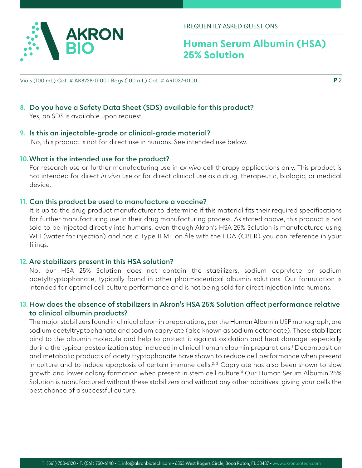

FREQUENTLY ASKED QUESTIONS

# **Human Serum Albumin (HSA) 25% Solution**

**8. Do you have a Safety Data Sheet (SDS) available for this product?** Yes, an SDS is available upon request.

# **9. Is this an injectable-grade or clinical-grade material?**

No, this product is not for direct use in humans. See intended use below.

# **10.What is the intended use for the product?**

For research use or further manufacturing use in *ex vivo* cell therapy applications only. This product is not intended for direct *in vivo* use or for direct clinical use as a drug, therapeutic, biologic, or medical device.

# **11. Can this product be used to manufacture a vaccine?**

It is up to the drug product manufacturer to determine if this material fits their required specifications for further manufacturing use in their drug manufacturing process. As stated above, this product is not sold to be injected directly into humans, even though Akron's HSA 25% Solution is manufactured using WFI (water for injection) and has a Type II MF on file with the FDA (CBER) you can reference in your filings.

### **12. Are stabilizers present in this HSA solution?**

No, our HSA 25% Solution does not contain the stabilizers, sodium caprylate or sodium acetyltryptophanate, typically found in other pharmaceutical albumin solutions. Our formulation is intended for optimal cell culture performance and is not being sold for direct injection into humans.

# **13. How does the absence of stabilizers in Akron's HSA 25% Solution affect performance relative to clinical albumin products?**

The major stabilizers found in clinical albumin preparations, per the Human Albumin USP monograph, are sodium acetyltryptophanate and sodium caprylate (also known as sodium octanoate). These stabilizers bind to the albumin molecule and help to protect it against oxidation and heat damage, especially during the typical pasteurization step included in clinical human albumin preparations.1 Decomposition and metabolic products of acetyltryptophanate have shown to reduce cell performance when present in culture and to induce apoptosis of certain immune cells.<sup>2, 3</sup> Caprylate has also been shown to slow growth and lower colony formation when present in stem cell culture.4 Our Human Serum Albumin 25% Solution is manufactured without these stabilizers and without any other additives, giving your cells the best chance of a successful culture.

**P** 2